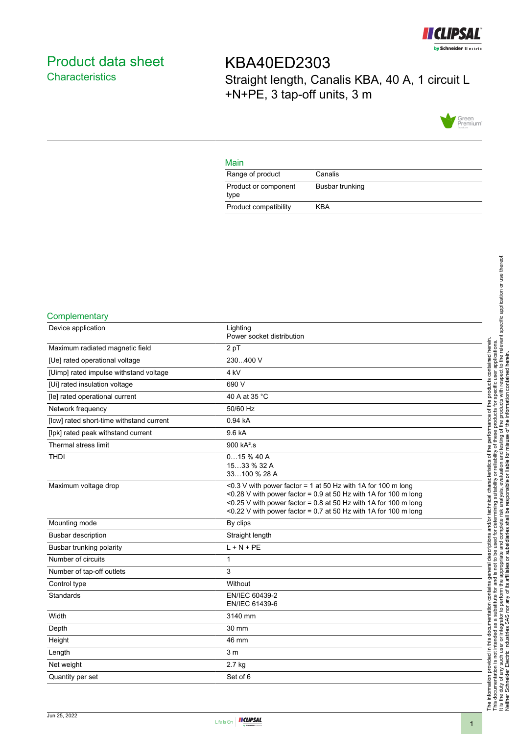

# <span id="page-0-0"></span>Product data sheet **Characteristics**

KBA40ED2303 Straight length, Canalis KBA, 40 A, 1 circuit L +N+PE, 3 tap-off units, 3 m



### Main

| Range of product             | Canalis         |
|------------------------------|-----------------|
| Product or component<br>type | Busbar trunking |
| Product compatibility        | KBA             |

#### **Complementary**

| Device application                       | Lighting<br>Power socket distribution                                                                                                                                                                                                                                     |
|------------------------------------------|---------------------------------------------------------------------------------------------------------------------------------------------------------------------------------------------------------------------------------------------------------------------------|
| Maximum radiated magnetic field          | 2 pT                                                                                                                                                                                                                                                                      |
| [Ue] rated operational voltage           | 230400 V                                                                                                                                                                                                                                                                  |
| [Uimp] rated impulse withstand voltage   | 4 <sub>kV</sub>                                                                                                                                                                                                                                                           |
| [Ui] rated insulation voltage            | 690 V                                                                                                                                                                                                                                                                     |
| [le] rated operational current           | 40 A at 35 °C                                                                                                                                                                                                                                                             |
| Network frequency                        | 50/60 Hz                                                                                                                                                                                                                                                                  |
| [lcw] rated short-time withstand current | 0.94 kA                                                                                                                                                                                                                                                                   |
| [lpk] rated peak withstand current       | 9.6 kA                                                                                                                                                                                                                                                                    |
| Thermal stress limit                     | 900 kA <sup>2</sup> .s                                                                                                                                                                                                                                                    |
| <b>THDI</b>                              | 015%40A<br>1533 % 32 A<br>33100 % 28 A                                                                                                                                                                                                                                    |
| Maximum voltage drop                     | <0.3 V with power factor = 1 at 50 Hz with 1A for 100 m long<br><0.28 V with power factor = $0.9$ at 50 Hz with 1A for 100 m long<br><0.25 V with power factor = 0.8 at 50 Hz with 1A for 100 m long<br><0.22 V with power factor = $0.7$ at 50 Hz with 1A for 100 m long |
| Mounting mode                            | By clips                                                                                                                                                                                                                                                                  |
| <b>Busbar description</b>                | Straight length                                                                                                                                                                                                                                                           |
| Busbar trunking polarity                 | $L + N + PE$                                                                                                                                                                                                                                                              |
| Number of circuits                       | 1                                                                                                                                                                                                                                                                         |
| Number of tap-off outlets                | 3                                                                                                                                                                                                                                                                         |
| Control type                             | Without                                                                                                                                                                                                                                                                   |
| Standards                                | EN/IEC 60439-2<br>EN/IEC 61439-6                                                                                                                                                                                                                                          |
| Width                                    | 3140 mm                                                                                                                                                                                                                                                                   |
| Depth                                    | 30 mm                                                                                                                                                                                                                                                                     |
| Height                                   | 46 mm                                                                                                                                                                                                                                                                     |
| Length                                   | 3 <sub>m</sub>                                                                                                                                                                                                                                                            |
| Net weight                               | 2.7 kg                                                                                                                                                                                                                                                                    |
| Quantity per set                         | Set of 6                                                                                                                                                                                                                                                                  |

1